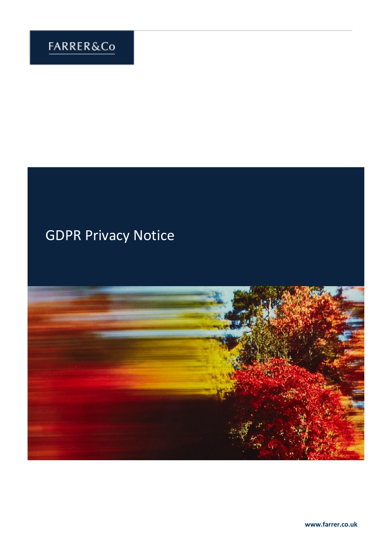# GDPR Privacy Notice

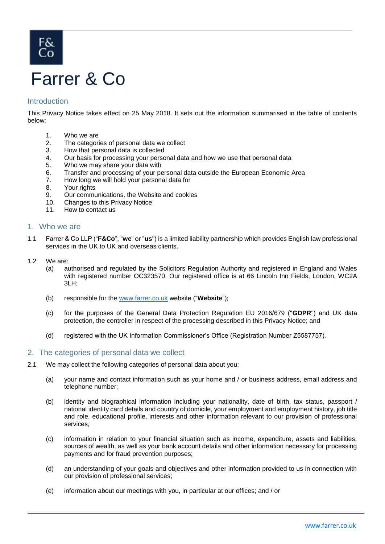# Farrer & Co

# Introduction

This Privacy Notice takes effect on 25 May 2018. It sets out the information summarised in the table of contents below:

- 1. Who we are
- 2. The categories of personal data we collect
- 3. How that personal data is collected
- 4. Our basis for processing your personal data and how we use that personal data
- 5. Who we may share your data with
- 6. Transfer and processing of your personal data outside the European Economic Area
- 7. How long we will hold your personal data for
- 8. Your rights
- 9. Our communications, the Website and cookies
- 10. Changes to this Privacy Notice
- 11. How to contact us

#### 1. Who we are

- 1.1 Farrer & Co LLP ("**F&Co**", "**we**" or "**us**") is a limited liability partnership which provides English law professional services in the UK to UK and overseas clients.
- 1.2 We are:
	- (a) authorised and regulated by the Solicitors Regulation Authority and registered in England and Wales with registered number OC323570. Our registered office is at 66 Lincoln Inn Fields, London, WC2A 3LH;
	- (b) responsible for the [www.farrer.co.uk](http://www.farrer.co.uk/) website ("**Website**");
	- (c) for the purposes of the General Data Protection Regulation EU 2016/679 ("**GDPR**") and UK data protection, the controller in respect of the processing described in this Privacy Notice; and
	- (d) registered with the UK Information Commissioner's Office (Registration Number Z5587757).

#### 2. The categories of personal data we collect

- 2.1 We may collect the following categories of personal data about you:
	- (a) your name and contact information such as your home and / or business address, email address and telephone number;
	- (b) identity and biographical information including your nationality, date of birth, tax status, passport / national identity card details and country of domicile, your employment and employment history, job title and role, educational profile, interests and other information relevant to our provision of professional services*;*
	- (c) information in relation to your financial situation such as income, expenditure, assets and liabilities, sources of wealth, as well as your bank account details and other information necessary for processing payments and for fraud prevention purposes;
	- (d) an understanding of your goals and objectives and other information provided to us in connection with our provision of professional services;
	- (e) information about our meetings with you, in particular at our offices; and / or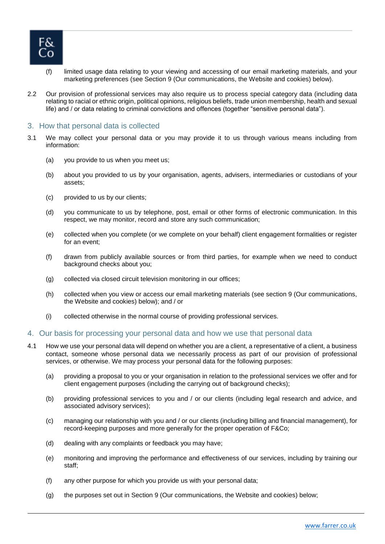

- (f) limited usage data relating to your viewing and accessing of our email marketing materials, and your marketing preferences (see Section 9 (Our communications, the Website and cookies) below).
- 2.2 Our provision of professional services may also require us to process special category data (including data relating to racial or ethnic origin, political opinions, religious beliefs, trade union membership, health and sexual life) and / or data relating to criminal convictions and offences (together "sensitive personal data").

#### 3. How that personal data is collected

- 3.1 We may collect your personal data or you may provide it to us through various means including from information:
	- (a) you provide to us when you meet us;
	- (b) about you provided to us by your organisation, agents, advisers, intermediaries or custodians of your assets;
	- (c) provided to us by our clients;
	- (d) you communicate to us by telephone, post, email or other forms of electronic communication. In this respect, we may monitor, record and store any such communication;
	- (e) collected when you complete (or we complete on your behalf) client engagement formalities or register for an event;
	- (f) drawn from publicly available sources or from third parties, for example when we need to conduct background checks about you;
	- (g) collected via closed circuit television monitoring in our offices;
	- (h) collected when you view or access our email marketing materials (see section 9 (Our communications, the Website and cookies) below); and / or
	- (i) collected otherwise in the normal course of providing professional services.

#### 4. Our basis for processing your personal data and how we use that personal data

- 4.1 How we use your personal data will depend on whether you are a client, a representative of a client, a business contact, someone whose personal data we necessarily process as part of our provision of professional services, or otherwise. We may process your personal data for the following purposes:
	- (a) providing a proposal to you or your organisation in relation to the professional services we offer and for client engagement purposes (including the carrying out of background checks);
	- (b) providing professional services to you and / or our clients (including legal research and advice, and associated advisory services);
	- (c) managing our relationship with you and / or our clients (including billing and financial management), for record-keeping purposes and more generally for the proper operation of F&Co;
	- (d) dealing with any complaints or feedback you may have;
	- (e) monitoring and improving the performance and effectiveness of our services, including by training our staff;
	- (f) any other purpose for which you provide us with your personal data;
	- (g) the purposes set out in Section 9 (Our communications, the Website and cookies) below;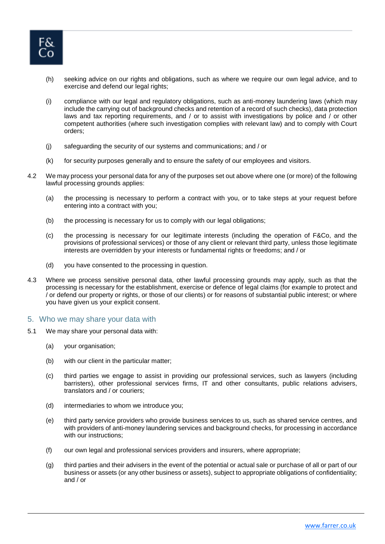

- (h) seeking advice on our rights and obligations, such as where we require our own legal advice, and to exercise and defend our legal rights;
- (i) compliance with our legal and regulatory obligations, such as anti-money laundering laws (which may include the carrying out of background checks and retention of a record of such checks), data protection laws and tax reporting requirements, and / or to assist with investigations by police and / or other competent authorities (where such investigation complies with relevant law) and to comply with Court orders;
- (j) safeguarding the security of our systems and communications; and / or
- (k) for security purposes generally and to ensure the safety of our employees and visitors.
- 4.2 We may process your personal data for any of the purposes set out above where one (or more) of the following lawful processing grounds applies:
	- (a) the processing is necessary to perform a contract with you, or to take steps at your request before entering into a contract with you;
	- (b) the processing is necessary for us to comply with our legal obligations;
	- (c) the processing is necessary for our legitimate interests (including the operation of F&Co, and the provisions of professional services) or those of any client or relevant third party, unless those legitimate interests are overridden by your interests or fundamental rights or freedoms; and / or
	- (d) you have consented to the processing in question.
- 4.3 Where we process sensitive personal data, other lawful processing grounds may apply, such as that the processing is necessary for the establishment, exercise or defence of legal claims (for example to protect and / or defend our property or rights, or those of our clients) or for reasons of substantial public interest; or where you have given us your explicit consent.

#### 5. Who we may share your data with

- 5.1 We may share your personal data with:
	- (a) your organisation;
	- (b) with our client in the particular matter;
	- (c) third parties we engage to assist in providing our professional services, such as lawyers (including barristers), other professional services firms, IT and other consultants, public relations advisers, translators and / or couriers;
	- (d) intermediaries to whom we introduce you;
	- (e) third party service providers who provide business services to us, such as shared service centres, and with providers of anti-money laundering services and background checks, for processing in accordance with our instructions;
	- (f) our own legal and professional services providers and insurers, where appropriate;
	- (g) third parties and their advisers in the event of the potential or actual sale or purchase of all or part of our business or assets (or any other business or assets), subject to appropriate obligations of confidentiality; and / or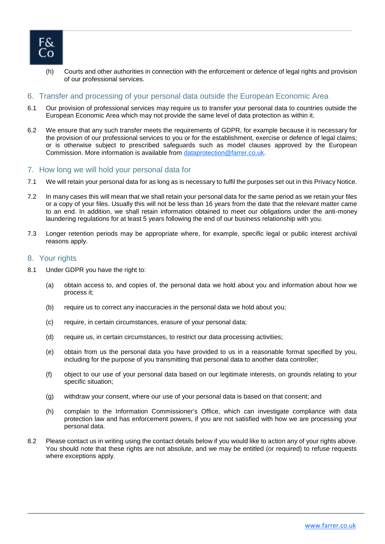

(h) Courts and other authorities in connection with the enforcement or defence of legal rights and provision of our professional services.

# 6. Transfer and processing of your personal data outside the European Economic Area

- 6.1 Our provision of professional services may require us to transfer your personal data to countries outside the European Economic Area which may not provide the same level of data protection as within it.
- 6.2 We ensure that any such transfer meets the requirements of GDPR, for example because it is necessary for the provision of our professional services to you or for the establishment, exercise or defence of legal claims; or is otherwise subject to prescribed safeguards such as model clauses approved by the European Commission. More information is available from [dataprotection@farrer.co.uk.](mailto:dataprotection@farrer.co.uk)

#### 7. How long we will hold your personal data for

- 7.1 We will retain your personal data for as long as is necessary to fulfil the purposes set out in this Privacy Notice.
- 7.2 In many cases this will mean that we shall retain your personal data for the same period as we retain your files or a copy of your files. Usually this will not be less than 16 years from the date that the relevant matter came to an end. In addition, we shall retain information obtained to meet our obligations under the anti-money laundering regulations for at least 5 years following the end of our business relationship with you.
- 7.3 Longer retention periods may be appropriate where, for example, specific legal or public interest archival reasons apply.

#### 8. Your rights

- 8.1 Under GDPR you have the right to:
	- (a) obtain access to, and copies of, the personal data we hold about you and information about how we process it;
	- (b) require us to correct any inaccuracies in the personal data we hold about you;
	- (c) require, in certain circumstances, erasure of your personal data;
	- (d) require us, in certain circumstances, to restrict our data processing activities;
	- (e) obtain from us the personal data you have provided to us in a reasonable format specified by you, including for the purpose of you transmitting that personal data to another data controller;
	- (f) object to our use of your personal data based on our legitimate interests, on grounds relating to your specific situation;
	- (g) withdraw your consent, where our use of your personal data is based on that consent; and
	- (h) complain to the Information Commissioner's Office, which can investigate compliance with data protection law and has enforcement powers, if you are not satisfied with how we are processing your personal data.
- 8.2 Please contact us in writing using the contact details below if you would like to action any of your rights above. You should note that these rights are not absolute, and we may be entitled (or required) to refuse requests where exceptions apply.